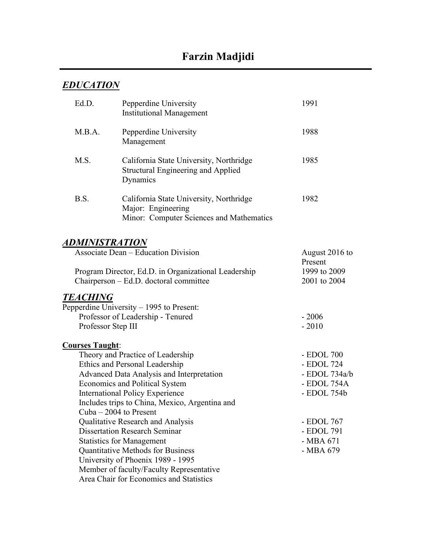# *EDUCATION*

| Ed.D.                                      | Pepperdine University<br><b>Institutional Management</b>                                                  | 1991           |
|--------------------------------------------|-----------------------------------------------------------------------------------------------------------|----------------|
| M.B.A.                                     | Pepperdine University<br>Management                                                                       | 1988           |
| M.S.                                       | California State University, Northridge<br><b>Structural Engineering and Applied</b><br>Dynamics          | 1985           |
| B.S.                                       | California State University, Northridge<br>Major: Engineering<br>Minor: Computer Sciences and Mathematics | 1982           |
| <i><b>ADMINISTRATION</b></i>               |                                                                                                           |                |
| <b>Associate Dean – Education Division</b> |                                                                                                           | August 2016 to |
|                                            | Program Director, Ed.D. in Organizational Leadership                                                      | Present        |
|                                            | 1999 to 2009<br>2001 to 2004                                                                              |                |
|                                            | Chairperson – Ed.D. doctoral committee                                                                    |                |
| <b>TEACHING</b>                            |                                                                                                           |                |
|                                            | Pepperdine University - 1995 to Present:                                                                  |                |
| Professor of Leadership - Tenured          |                                                                                                           | $-2006$        |
| Professor Step III                         |                                                                                                           | $-2010$        |
| <b>Courses Taught:</b>                     |                                                                                                           |                |
|                                            | - EDOL 700                                                                                                |                |
|                                            | Theory and Practice of Leadership<br>Ethics and Personal Leadership                                       | - EDOL 724     |
| Advanced Data Analysis and Interpretation  | - EDOL 734a/b                                                                                             |                |
| <b>Economics and Political System</b>      | - EDOL 754A                                                                                               |                |
| <b>International Policy Experience</b>     | - EDOL 754b                                                                                               |                |
|                                            |                                                                                                           |                |
|                                            | Includes trips to China, Mexico, Argentina and<br>Cuba $-2004$ to Present                                 |                |
|                                            | Qualitative Research and Analysis                                                                         | - EDOL 767     |
| <b>Dissertation Research Seminar</b>       | - EDOL 791                                                                                                |                |
| <b>Statistics for Management</b>           | - MBA 671                                                                                                 |                |
| <b>Quantitative Methods for Business</b>   | - MBA 679                                                                                                 |                |
|                                            | University of Phoenix 1989 - 1995                                                                         |                |
|                                            | Member of faculty/Faculty Representative                                                                  |                |
|                                            | Area Chair for Economics and Statistics                                                                   |                |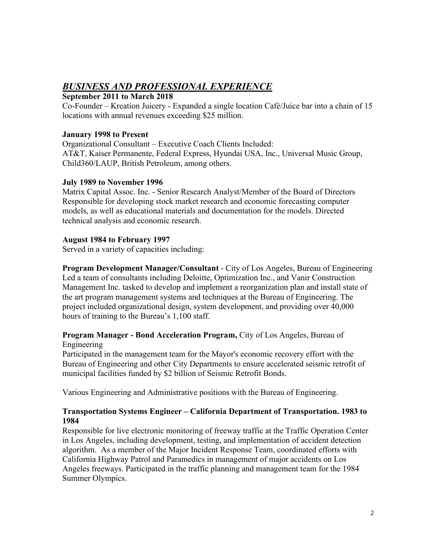# *BUSINESS AND PROFESSIONAL EXPERIENCE*

### **September 2011 to March 2018**

Co-Founder – Kreation Juicery - Expanded a single location Café/Juice bar into a chain of 15 locations with annual revenues exceeding \$25 million.

### **January 1998 to Present**

Organizational Consultant – Executive Coach Clients Included: AT&T, Kaiser Permanente, Federal Express, Hyundai USA, Inc., Universal Music Group, Child360/LAUP, British Petroleum, among others.

### **July 1989 to November 1996**

Matrix Capital Assoc. Inc. - Senior Research Analyst/Member of the Board of Directors Responsible for developing stock market research and economic forecasting computer models, as well as educational materials and documentation for the models. Directed technical analysis and economic research.

### **August 1984 to February 1997**

Served in a variety of capacities including:

**Program Development Manager/Consultant** - City of Los Angeles, Bureau of Engineering Led a team of consultants including Deloitte, Optimization Inc., and Vanir Construction Management Inc. tasked to develop and implement a reorganization plan and install state of the art program management systems and techniques at the Bureau of Engineering. The project included organizational design, system development, and providing over 40,000 hours of training to the Bureau's 1,100 staff.

### **Program Manager - Bond Acceleration Program,** City of Los Angeles, Bureau of Engineering

Participated in the management team for the Mayor's economic recovery effort with the Bureau of Engineering and other City Departments to ensure accelerated seismic retrofit of municipal facilities funded by \$2 billion of Seismic Retrofit Bonds.

Various Engineering and Administrative positions with the Bureau of Engineering.

### **Transportation Systems Engineer – California Department of Transportation. 1983 to 1984**

Responsible for live electronic monitoring of freeway traffic at the Traffic Operation Center in Los Angeles, including development, testing, and implementation of accident detection algorithm. As a member of the Major Incident Response Team, coordinated efforts with California Highway Patrol and Paramedics in management of major accidents on Los Angeles freeways. Participated in the traffic planning and management team for the 1984 Summer Olympics.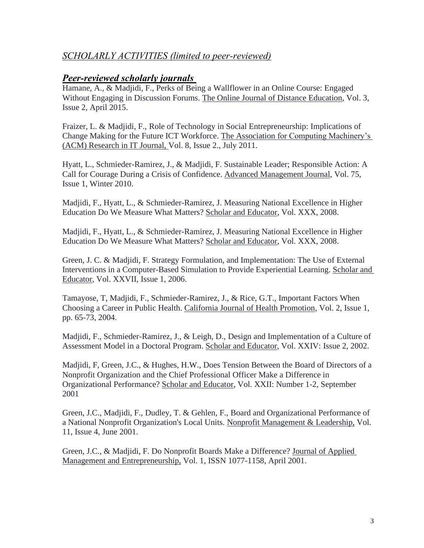### *SCHOLARLY ACTIVITIES (limited to peer-reviewed)*

### *Peer-reviewed scholarly journals*

Hamane, A., & Madjidi, F., Perks of Being a Wallflower in an Online Course: Engaged Without Engaging in Discussion Forums. The Online Journal of Distance Education, Vol. 3, Issue 2, April 2015.

Fraizer, L. & Madjidi, F., Role of Technology in Social Entrepreneurship: Implications of Change Making for the Future ICT Workforce. The Association for Computing Machinery's (ACM) Research in IT Journal, Vol. 8, Issue 2., July 2011.

Hyatt, L., Schmieder-Ramirez, J., & Madjidi, F. Sustainable Leader; Responsible Action: A Call for Courage During a Crisis of Confidence. Advanced Management Journal, Vol. 75, Issue 1, Winter 2010.

Madjidi, F., Hyatt, L., & Schmieder-Ramirez, J. Measuring National Excellence in Higher Education Do We Measure What Matters? Scholar and Educator, Vol. XXX, 2008.

Madjidi, F., Hyatt, L., & Schmieder-Ramirez, J. Measuring National Excellence in Higher Education Do We Measure What Matters? Scholar and Educator, Vol. XXX, 2008.

Green, J. C. & Madjidi, F. Strategy Formulation, and Implementation: The Use of External Interventions in a Computer-Based Simulation to Provide Experiential Learning. Scholar and Educator, Vol. XXVII, Issue 1, 2006.

Tamayose, T, Madjidi, F., Schmieder-Ramirez, J., & Rice, G.T., Important Factors When Choosing a Career in Public Health. California Journal of Health Promotion, Vol. 2, Issue 1, pp. 65-73, 2004.

Madjidi, F., Schmieder-Ramirez, J., & Leigh, D., Design and Implementation of a Culture of Assessment Model in a Doctoral Program. Scholar and Educator, Vol. XXIV: Issue 2, 2002.

Madjidi, F, Green, J.C., & Hughes, H.W., Does Tension Between the Board of Directors of a Nonprofit Organization and the Chief Professional Officer Make a Difference in Organizational Performance? Scholar and Educator, Vol. XXII: Number 1-2, September 2001

Green, J.C., Madjidi, F., Dudley, T. & Gehlen, F., Board and Organizational Performance of a National Nonprofit Organization's Local Units. Nonprofit Management & Leadership, Vol. 11, Issue 4, June 2001.

Green, J.C., & Madjidi, F. Do Nonprofit Boards Make a Difference? Journal of Applied Management and Entrepreneurship, Vol. 1, ISSN 1077-1158, April 2001.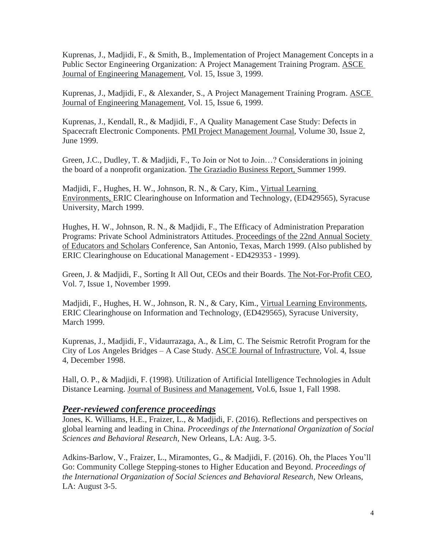Kuprenas, J., Madjidi, F., & Smith, B., Implementation of Project Management Concepts in a Public Sector Engineering Organization: A Project Management Training Program. ASCE Journal of Engineering Management, Vol. 15, Issue 3, 1999.

Kuprenas, J., Madjidi, F., & Alexander, S., A Project Management Training Program. ASCE Journal of Engineering Management, Vol. 15, Issue 6, 1999.

Kuprenas, J., Kendall, R., & Madjidi, F., A Quality Management Case Study: Defects in Spacecraft Electronic Components. PMI Project Management Journal, Volume 30, Issue 2, June 1999.

Green, J.C., Dudley, T. & Madjidi, F., To Join or Not to Join…? Considerations in joining the board of a nonprofit organization. The Graziadio Business Report, Summer 1999.

Madjidi, F., Hughes, H. W., Johnson, R. N., & Cary, Kim., Virtual Learning Environments, ERIC Clearinghouse on Information and Technology, (ED429565), Syracuse University, March 1999.

Hughes, H. W., Johnson, R. N., & Madjidi, F., The Efficacy of Administration Preparation Programs: Private School Administrators Attitudes. Proceedings of the 22nd Annual Society of Educators and Scholars Conference, San Antonio, Texas, March 1999. (Also published by ERIC Clearinghouse on Educational Management - ED429353 - 1999).

Green, J. & Madjidi, F., Sorting It All Out, CEOs and their Boards. The Not-For-Profit CEO, Vol. 7, Issue 1, November 1999.

Madjidi, F., Hughes, H. W., Johnson, R. N., & Cary, Kim., Virtual Learning Environments, ERIC Clearinghouse on Information and Technology, (ED429565), Syracuse University, March 1999.

Kuprenas, J., Madjidi, F., Vidaurrazaga, A., & Lim, C. The Seismic Retrofit Program for the City of Los Angeles Bridges – A Case Study. ASCE Journal of Infrastructure, Vol. 4, Issue 4, December 1998.

Hall, O. P., & Madjidi, F. (1998). Utilization of Artificial Intelligence Technologies in Adult Distance Learning. Journal of Business and Management, Vol.6, Issue 1, Fall 1998.

### *Peer-reviewed conference proceedings*

Jones, K. Williams, H.E., Fraizer, L., & Madjidi, F. (2016). Reflections and perspectives on global learning and leading in China. *Proceedings of the International Organization of Social Sciences and Behavioral Research*, New Orleans, LA: Aug. 3-5.

Adkins-Barlow, V., Fraizer, L., Miramontes, G., & Madjidi, F. (2016). Oh, the Places You'll Go: Community College Stepping-stones to Higher Education and Beyond. *Proceedings of the International Organization of Social Sciences and Behavioral Research,* New Orleans, LA: August 3-5.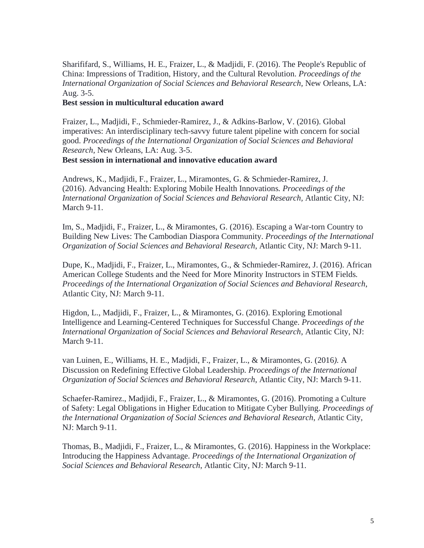Sharififard, S., Williams, H. E., Fraizer, L., & Madjidi, F. (2016). The People's Republic of China: Impressions of Tradition, History, and the Cultural Revolution. *Proceedings of the International Organization of Social Sciences and Behavioral Research,* New Orleans, LA: Aug. 3-5.

#### **Best session in multicultural education award**

Fraizer, L., Madjidi, F., Schmieder-Ramirez, J., & Adkins-Barlow, V. (2016). Global imperatives: An interdisciplinary tech-savvy future talent pipeline with concern for social good. *Proceedings of the International Organization of Social Sciences and Behavioral Research,* New Orleans, LA: Aug. 3-5.

**Best session in international and innovative education award**

Andrews, K., Madjidi, F., Fraizer, L., Miramontes, G. & Schmieder-Ramirez, J. (2016). Advancing Health: Exploring Mobile Health Innovations*. Proceedings of the International Organization of Social Sciences and Behavioral Research,* Atlantic City, NJ: March 9-11.

Im, S., Madjidi, F., Fraizer, L., & Miramontes, G. (2016). Escaping a War-torn Country to Building New Lives: The Cambodian Diaspora Community. *Proceedings of the International Organization of Social Sciences and Behavioral Research*, Atlantic City, NJ: March 9-11.

Dupe, K., Madjidi, F., Fraizer, L., Miramontes, G., & Schmieder-Ramirez, J. (2016). African American College Students and the Need for More Minority Instructors in STEM Fields*. Proceedings of the International Organization of Social Sciences and Behavioral Research*, Atlantic City, NJ: March 9-11.

Higdon, L., Madjidi, F., Fraizer, L., & Miramontes, G. (2016). Exploring Emotional Intelligence and Learning-Centered Techniques for Successful Change. *Proceedings of the International Organization of Social Sciences and Behavioral Research*, Atlantic City, NJ: March 9-11.

van Luinen, E., Williams, H. E., Madjidi, F., Fraizer, L., & Miramontes, G. (2016*).* A Discussion on Redefining Effective Global Leadership*. Proceedings of the International Organization of Social Sciences and Behavioral Research*, Atlantic City, NJ: March 9-11.

Schaefer-Ramirez., Madjidi, F., Fraizer, L., & Miramontes, G. (2016). Promoting a Culture of Safety: Legal Obligations in Higher Education to Mitigate Cyber Bullying. *Proceedings of the International Organization of Social Sciences and Behavioral Research*, Atlantic City, NJ: March 9-11.

Thomas, B., Madjidi, F., Fraizer, L., & Miramontes, G. (2016). Happiness in the Workplace: Introducing the Happiness Advantage. *Proceedings of the International Organization of Social Sciences and Behavioral Research*, Atlantic City, NJ: March 9-11.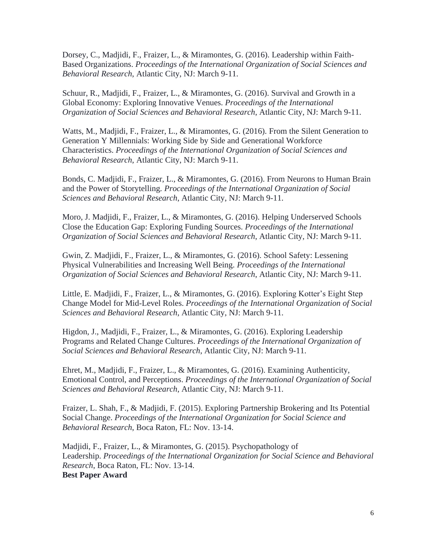Dorsey, C., Madjidi, F., Fraizer, L., & Miramontes, G. (2016). Leadership within Faith-Based Organizations. *Proceedings of the International Organization of Social Sciences and Behavioral Research*, Atlantic City, NJ: March 9-11.

Schuur, R., Madjidi, F., Fraizer, L., & Miramontes, G. (2016). Survival and Growth in a Global Economy: Exploring Innovative Venues. *Proceedings of the International Organization of Social Sciences and Behavioral Research*, Atlantic City, NJ: March 9-11.

Watts, M., Madjidi, F., Fraizer, L., & Miramontes, G. (2016). From the Silent Generation to Generation Y Millennials: Working Side by Side and Generational Workforce Characteristics. *Proceedings of the International Organization of Social Sciences and Behavioral Research*, Atlantic City, NJ: March 9-11.

Bonds, C. Madjidi, F., Fraizer, L., & Miramontes, G. (2016). From Neurons to Human Brain and the Power of Storytelling*. Proceedings of the International Organization of Social Sciences and Behavioral Research*, Atlantic City, NJ: March 9-11.

Moro, J. Madjidi, F., Fraizer, L., & Miramontes, G. (2016). Helping Underserved Schools Close the Education Gap: Exploring Funding Sources. *Proceedings of the International Organization of Social Sciences and Behavioral Research*, Atlantic City, NJ: March 9-11.

Gwin, Z. Madjidi, F., Fraizer, L., & Miramontes, G. (2016). School Safety: Lessening Physical Vulnerabilities and Increasing Well Being. *Proceedings of the International Organization of Social Sciences and Behavioral Research*, Atlantic City, NJ: March 9-11.

Little, E. Madjidi, F., Fraizer, L., & Miramontes, G. (2016). Exploring Kotter's Eight Step Change Model for Mid-Level Roles. *Proceedings of the International Organization of Social Sciences and Behavioral Research*, Atlantic City, NJ: March 9-11.

Higdon, J., Madjidi, F., Fraizer, L., & Miramontes, G. (2016). Exploring Leadership Programs and Related Change Cultures. *Proceedings of the International Organization of Social Sciences and Behavioral Research*, Atlantic City, NJ: March 9-11.

Ehret, M., Madjidi, F., Fraizer, L., & Miramontes, G. (2016). Examining Authenticity, Emotional Control, and Perceptions. *Proceedings of the International Organization of Social Sciences and Behavioral Research*, Atlantic City, NJ: March 9-11.

Fraizer, L. Shah, F., & Madjidi, F. (2015). Exploring Partnership Brokering and Its Potential Social Change. *Proceedings of the International Organization for Social Science and Behavioral Research*, Boca Raton, FL: Nov. 13-14.

Madjidi, F., Fraizer, L., & Miramontes, G. (2015). Psychopathology of Leadership. *Proceedings of the International Organization for Social Science and Behavioral Research*, Boca Raton, FL: Nov. 13-14. **Best Paper Award**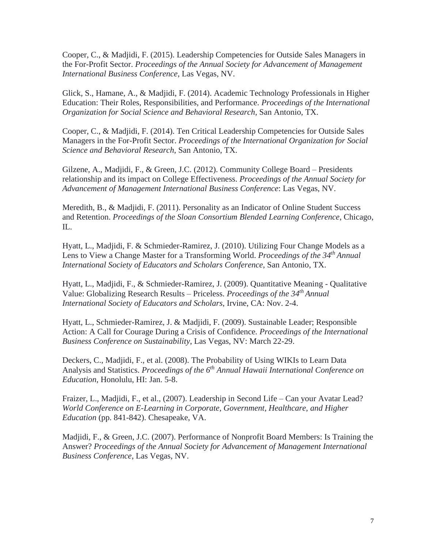Cooper, C., & Madjidi, F. (2015). Leadership Competencies for Outside Sales Managers in the For-Profit Sector. *Proceedings of the Annual Society for Advancement of Management International Business Conference*, Las Vegas, NV.

Glick, S., Hamane, A., & Madjidi, F. (2014). Academic Technology Professionals in Higher Education: Their Roles, Responsibilities, and Performance. *Proceedings of the International Organization for Social Science and Behavioral Research*, San Antonio, TX.

Cooper, C., & Madjidi, F. (2014). Ten Critical Leadership Competencies for Outside Sales Managers in the For-Profit Sector. *Proceedings of the International Organization for Social Science and Behavioral Research*, San Antonio, TX.

Gilzene, A., Madjidi, F., & Green, J.C. (2012). Community College Board – Presidents relationship and its impact on College Effectiveness. *Proceedings of the Annual Society for Advancement of Management International Business Conference*: Las Vegas, NV.

Meredith, B., & Madjidi, F. (2011). Personality as an Indicator of Online Student Success and Retention. *Proceedings of the Sloan Consortium Blended Learning Conference*, Chicago, IL.

Hyatt, L., Madjidi, F. & Schmieder-Ramirez, J. (2010). Utilizing Four Change Models as a Lens to View a Change Master for a Transforming World. *Proceedings of the 34th Annual International Society of Educators and Scholars Conference*, San Antonio, TX.

Hyatt, L., Madjidi, F., & Schmieder-Ramirez, J. (2009). Quantitative Meaning - Qualitative Value: Globalizing Research Results – Priceless. *Proceedings of the 34th Annual International Society of Educators and Scholars*, Irvine, CA: Nov. 2-4.

Hyatt, L., Schmieder-Ramirez, J. & Madjidi, F. (2009). Sustainable Leader; Responsible Action: A Call for Courage During a Crisis of Confidence*. Proceedings of the International Business Conference on Sustainability*, Las Vegas, NV: March 22-29.

Deckers, C., Madjidi, F., et al. (2008). The Probability of Using WIKIs to Learn Data Analysis and Statistics. *Proceedings of the 6 th Annual Hawaii International Conference on Education*, Honolulu, HI: Jan. 5-8.

Fraizer, L., Madjidi, F., et al., (2007). Leadership in Second Life – Can your Avatar Lead? *World Conference on E-Learning in Corporate, Government, Healthcare, and Higher Education* (pp. 841-842). Chesapeake, VA.

Madjidi, F., & Green, J.C. (2007). Performance of Nonprofit Board Members: Is Training the Answer? *Proceedings of the Annual Society for Advancement of Management International Business Conference*, Las Vegas, NV.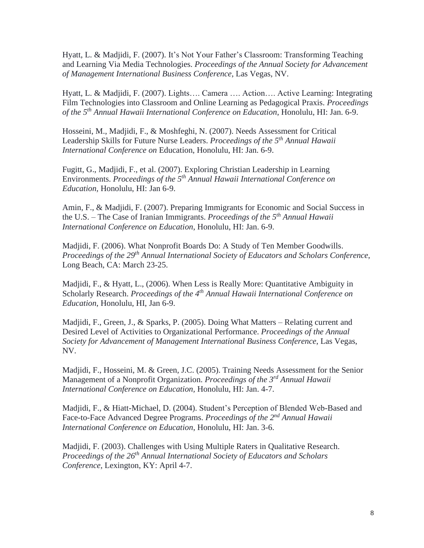Hyatt, L. & Madjidi, F. (2007). It's Not Your Father's Classroom: Transforming Teaching and Learning Via Media Technologies. *Proceedings of the Annual Society for Advancement of Management International Business Conference*, Las Vegas, NV.

Hyatt, L. & Madjidi, F. (2007). Lights…. Camera …. Action…. Active Learning: Integrating Film Technologies into Classroom and Online Learning as Pedagogical Praxis. *Proceedings of the 5 th Annual Hawaii International Conference on Education*, Honolulu, HI: Jan. 6-9.

Hosseini, M., Madjidi, F., & Moshfeghi, N. (2007). Needs Assessment for Critical Leadership Skills for Future Nurse Leaders. *Proceedings of the 5 th Annual Hawaii International Conference on* Education, Honolulu, HI: Jan. 6-9.

Fugitt, G., Madjidi, F., et al. (2007). Exploring Christian Leadership in Learning Environments. *Proceedings of the 5 th Annual Hawaii International Conference on Education,* Honolulu, HI: Jan 6-9.

Amin, F., & Madjidi, F. (2007). Preparing Immigrants for Economic and Social Success in the U.S. – The Case of Iranian Immigrants. *Proceedings of the 5 th Annual Hawaii International Conference on Education*, Honolulu, HI: Jan. 6-9.

Madjidi, F. (2006). What Nonprofit Boards Do: A Study of Ten Member Goodwills. *Proceedings of the 29th Annual International Society of Educators and Scholars Conference*, Long Beach, CA: March 23-25.

Madjidi, F., & Hyatt, L., (2006). When Less is Really More: Quantitative Ambiguity in Scholarly Research. *Proceedings of the 4 th Annual Hawaii International Conference on Education*, Honolulu, HI, Jan 6-9.

Madjidi, F., Green, J., & Sparks, P. (2005). Doing What Matters – Relating current and Desired Level of Activities to Organizational Performance. *Proceedings of the Annual Society for Advancement of Management International Business Conference*, Las Vegas, NV.

Madjidi, F., Hosseini, M. & Green, J.C. (2005). Training Needs Assessment for the Senior Management of a Nonprofit Organization. *Proceedings of the 3 rd Annual Hawaii International Conference on Education,* Honolulu, HI: Jan. 4-7.

Madjidi, F., & Hiatt-Michael, D. (2004). Student's Perception of Blended Web-Based and Face-to-Face Advanced Degree Programs. *Proceedings of the 2<sup>nd</sup> Annual Hawaii International Conference on Education*, Honolulu, HI: Jan. 3-6.

Madjidi, F. (2003). Challenges with Using Multiple Raters in Qualitative Research. *Proceedings of the 26th Annual International Society of Educators and Scholars Conference,* Lexington, KY: April 4-7.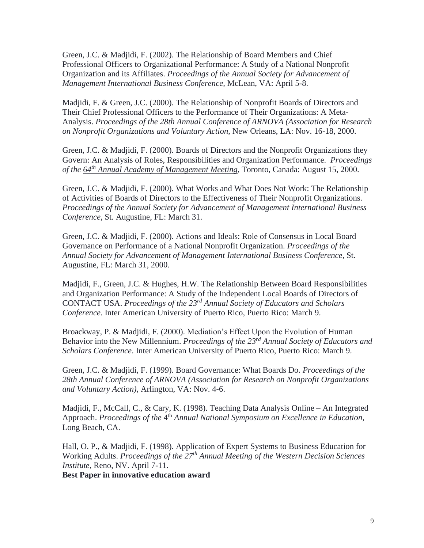Green, J.C. & Madjidi, F. (2002). The Relationship of Board Members and Chief Professional Officers to Organizational Performance: A Study of a National Nonprofit Organization and its Affiliates. *Proceedings of the Annual Society for Advancement of Management International Business Conference,* McLean, VA: April 5-8.

Madjidi, F. & Green, J.C. (2000). The Relationship of Nonprofit Boards of Directors and Their Chief Professional Officers to the Performance of Their Organizations: A Meta-Analysis. *Proceedings of the 28th Annual Conference of ARNOVA (Association for Research on Nonprofit Organizations and Voluntary Action*, New Orleans, LA: Nov. 16-18, 2000.

Green, J.C. & Madjidi, F. (2000). Boards of Directors and the Nonprofit Organizations they Govern: An Analysis of Roles, Responsibilities and Organization Performance. *Proceedings of the 64th Annual Academy of Management Meeting*, Toronto, Canada: August 15, 2000.

Green, J.C. & Madjidi, F. (2000). What Works and What Does Not Work: The Relationship of Activities of Boards of Directors to the Effectiveness of Their Nonprofit Organizations. *Proceedings of the Annual Society for Advancement of Management International Business Conference*, St. Augustine, FL: March 31.

Green, J.C. & Madjidi, F. (2000). Actions and Ideals: Role of Consensus in Local Board Governance on Performance of a National Nonprofit Organization. *Proceedings of the Annual Society for Advancement of Management International Business Conference*, St. Augustine, FL: March 31, 2000.

Madjidi, F., Green, J.C. & Hughes, H.W. The Relationship Between Board Responsibilities and Organization Performance: A Study of the Independent Local Boards of Directors of CONTACT USA. *Proceedings of the 23rd Annual Society of Educators and Scholars Conference.* Inter American University of Puerto Rico, Puerto Rico: March 9.

Broackway, P. & Madjidi, F. (2000). Mediation's Effect Upon the Evolution of Human Behavior into the New Millennium. *Proceedings of the 23rd Annual Society of Educators and Scholars Conference*. Inter American University of Puerto Rico, Puerto Rico: March 9.

Green, J.C. & Madjidi, F. (1999). Board Governance: What Boards Do. *Proceedings of the 28th Annual Conference of ARNOVA (Association for Research on Nonprofit Organizations and Voluntary Action),* Arlington, VA: Nov. 4-6.

Madjidi, F., McCall, C., & Cary, K. (1998). Teaching Data Analysis Online – An Integrated Approach. *Proceedings of the* 4<sup>th</sup> Annual National Symposium on Excellence in Education, Long Beach, CA.

Hall, O. P., & Madjidi, F. (1998). Application of Expert Systems to Business Education for Working Adults. *Proceedings of the 27th Annual Meeting of the Western Decision Sciences Institute*, Reno, NV. April 7-11.

**Best Paper in innovative education award**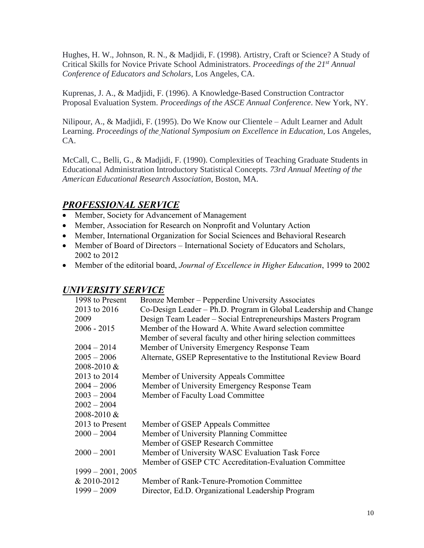Hughes, H. W., Johnson, R. N., & Madjidi, F. (1998). Artistry, Craft or Science? A Study of Critical Skills for Novice Private School Administrators. *Proceedings of the 21st Annual Conference of Educators and Scholars*, Los Angeles, CA.

Kuprenas, J. A., & Madjidi, F. (1996). A Knowledge-Based Construction Contractor Proposal Evaluation System. *Proceedings of the ASCE Annual Conference*. New York, NY.

Nilipour, A., & Madjidi, F. (1995). Do We Know our Clientele – Adult Learner and Adult Learning. *Proceedings of the National Symposium on Excellence in Education,* Los Angeles, CA.

McCall, C., Belli, G., & Madjidi, F. (1990). Complexities of Teaching Graduate Students in Educational Administration Introductory Statistical Concepts. *73rd Annual Meeting of the American Educational Research Association*, Boston, MA.

## *PROFESSIONAL SERVICE*

- Member, Society for Advancement of Management
- Member, Association for Research on Nonprofit and Voluntary Action
- Member, International Organization for Social Sciences and Behavioral Research
- Member of Board of Directors International Society of Educators and Scholars, 2002 to 2012
- Member of the editorial board, *Journal of Excellence in Higher Education*, 1999 to 2002

| 1998 to Present     | Bronze Member – Pepperdine University Associates                 |
|---------------------|------------------------------------------------------------------|
| 2013 to 2016        | Co-Design Leader – Ph.D. Program in Global Leadership and Change |
| 2009                | Design Team Leader – Social Entrepreneurships Masters Program    |
| $2006 - 2015$       | Member of the Howard A. White Award selection committee          |
|                     | Member of several faculty and other hiring selection committees  |
| $2004 - 2014$       | Member of University Emergency Response Team                     |
| $2005 - 2006$       | Alternate, GSEP Representative to the Institutional Review Board |
| 2008-2010 &         |                                                                  |
| 2013 to 2014        | Member of University Appeals Committee                           |
| $2004 - 2006$       | Member of University Emergency Response Team                     |
| $2003 - 2004$       | Member of Faculty Load Committee                                 |
| $2002 - 2004$       |                                                                  |
| 2008-2010 &         |                                                                  |
| 2013 to Present     | Member of GSEP Appeals Committee                                 |
| $2000 - 2004$       | Member of University Planning Committee                          |
|                     | Member of GSEP Research Committee                                |
| $2000 - 2001$       | Member of University WASC Evaluation Task Force                  |
|                     | Member of GSEP CTC Accreditation-Evaluation Committee            |
| $1999 - 2001, 2005$ |                                                                  |
| & 2010-2012         | Member of Rank-Tenure-Promotion Committee                        |
| $1999 - 2009$       | Director, Ed.D. Organizational Leadership Program                |

### *UNIVERSITY SERVICE*